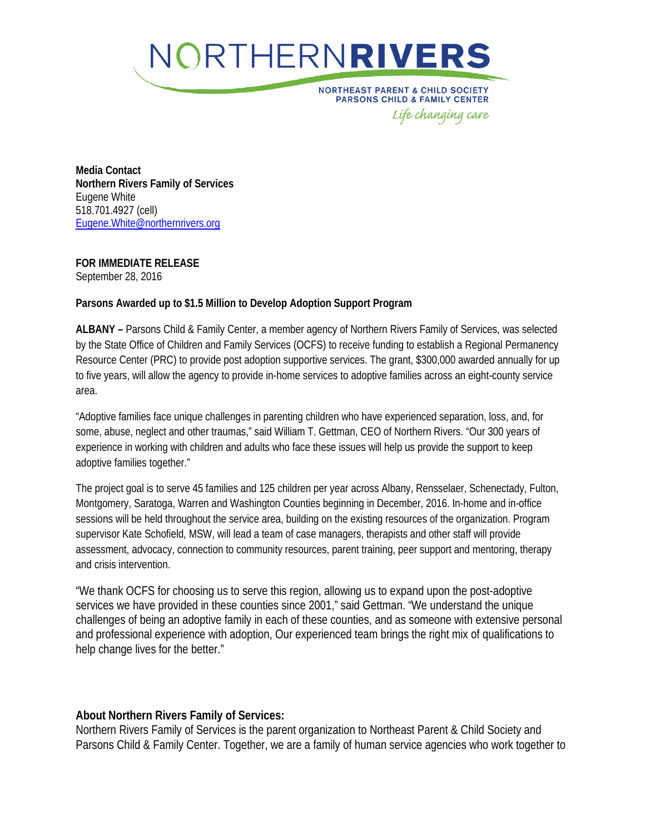

**NORTHEAST PARENT & CHILD SOCIETY PARSONS CHILD & FAMILY CENTER** Life changing care

**Media Contact Northern Rivers Family of Services** Eugene White 518.701.4927 (cell) [Eugene.White@northernrivers.org](mailto:Eugene.White@northernrivers.org)

**FOR IMMEDIATE RELEASE**

September 28, 2016

## **Parsons Awarded up to \$1.5 Million to Develop Adoption Support Program**

**ALBANY –** Parsons Child & Family Center, a member agency of Northern Rivers Family of Services, was selected by the State Office of Children and Family Services (OCFS) to receive funding to establish a Regional Permanency Resource Center (PRC) to provide post adoption supportive services. The grant, \$300,000 awarded annually for up to five years, will allow the agency to provide in-home services to adoptive families across an eight-county service area.

"Adoptive families face unique challenges in parenting children who have experienced separation, loss, and, for some, abuse, neglect and other traumas," said William T. Gettman, CEO of Northern Rivers. "Our 300 years of experience in working with children and adults who face these issues will help us provide the support to keep adoptive families together."

The project goal is to serve 45 families and 125 children per year across Albany, Rensselaer, Schenectady, Fulton, Montgomery, Saratoga, Warren and Washington Counties beginning in December, 2016. In-home and in-office sessions will be held throughout the service area, building on the existing resources of the organization. Program supervisor Kate Schofield, MSW, will lead a team of case managers, therapists and other staff will provide assessment, advocacy, connection to community resources, parent training, peer support and mentoring, therapy and crisis intervention.

"We thank OCFS for choosing us to serve this region, allowing us to expand upon the post-adoptive services we have provided in these counties since 2001," said Gettman. "We understand the unique challenges of being an adoptive family in each of these counties, and as someone with extensive personal and professional experience with adoption, Our experienced team brings the right mix of qualifications to help change lives for the better."

## **About Northern Rivers Family of Services:**

Northern Rivers Family of Services is the parent organization to Northeast Parent & Child Society and Parsons Child & Family Center. Together, we are a family of human service agencies who work together to